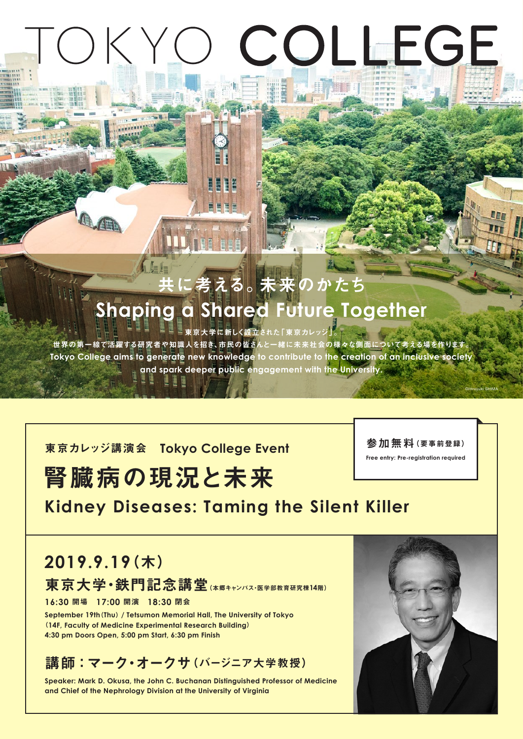# TOKYO COLLEGE

# に考える。未来のかたち **Shaping a Shared Future Together**

「東京大学に新しく設立された「東京カレッジ」。

世界の第一線で活躍する研究者や知識人を招き、市民の皆さんと一緒に未来社会の様々な側面について考える場を作ります Tokyo College aims to generate new knowledge to contribute to the creation of an inclusive society and spark deeper public engagement with the University.

**東京カレッジ講演会 Tokyo College Event** 

# 腎臓病の現況と未来

参加無料(要事前登録)

**Free entry: Pre-registration required** 

©Hiroyuki SHIMA

# **Kidney Diseases: Taming the Silent Killer**

# (木(**2019.9.19** 東京大学·鉄門記念講堂 (本郷キャンパス・医学部教育研究棟14階)

閉会 **18:30** 開演 **17:00** 開場 **16:30**

**September 19th (Thu) / Tetsumon Memorial Hall, The University of Tokyo** (14F, Faculty of Medicine Experimental Research Building) 4:30 pm Doors Open, 5:00 pm Start, 6:30 pm Finish

講師:マーク・オークサ (バージニア大学教授)

 **Speaker: Mark D. Okusa, the John C. Buchanan Distinguished Professor of Medicine** and Chief of the Nephrology Division at the University of Virginia